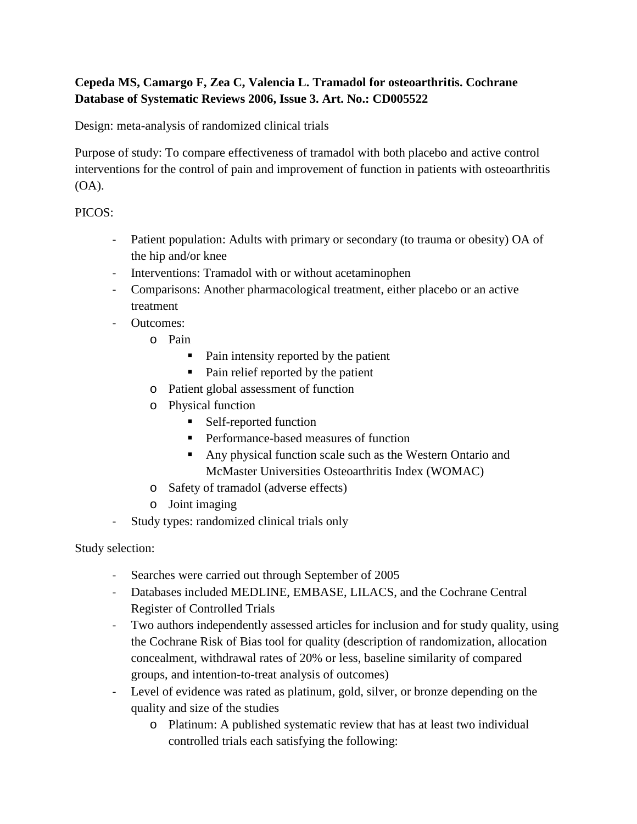# **Cepeda MS, Camargo F, Zea C, Valencia L. Tramadol for osteoarthritis. Cochrane Database of Systematic Reviews 2006, Issue 3. Art. No.: CD005522**

Design: meta-analysis of randomized clinical trials

Purpose of study: To compare effectiveness of tramadol with both placebo and active control interventions for the control of pain and improvement of function in patients with osteoarthritis (OA).

## PICOS:

- Patient population: Adults with primary or secondary (to trauma or obesity) OA of the hip and/or knee
- Interventions: Tramadol with or without acetaminophen
- Comparisons: Another pharmacological treatment, either placebo or an active treatment
- Outcomes:
	- o Pain
		- Pain intensity reported by the patient
		- Pain relief reported by the patient
		- o Patient global assessment of function
		- o Physical function
			- Self-reported function
			- Performance-based measures of function
			- Any physical function scale such as the Western Ontario and McMaster Universities Osteoarthritis Index (WOMAC)
		- o Safety of tramadol (adverse effects)
		- o Joint imaging
- Study types: randomized clinical trials only

## Study selection:

- Searches were carried out through September of 2005
- Databases included MEDLINE, EMBASE, LILACS, and the Cochrane Central Register of Controlled Trials
- Two authors independently assessed articles for inclusion and for study quality, using the Cochrane Risk of Bias tool for quality (description of randomization, allocation concealment, withdrawal rates of 20% or less, baseline similarity of compared groups, and intention-to-treat analysis of outcomes)
- Level of evidence was rated as platinum, gold, silver, or bronze depending on the quality and size of the studies
	- o Platinum: A published systematic review that has at least two individual controlled trials each satisfying the following: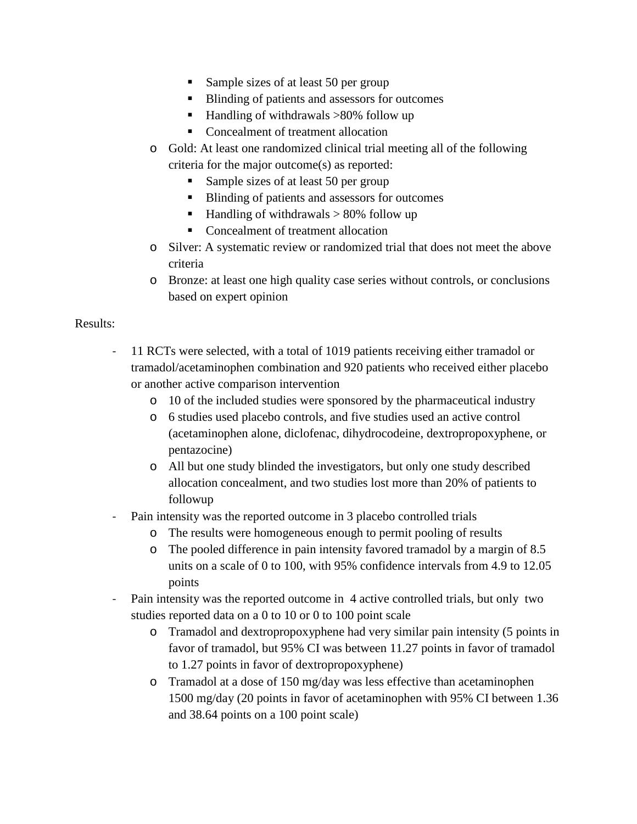- Sample sizes of at least 50 per group
- Blinding of patients and assessors for outcomes
- $\blacksquare$  Handling of withdrawals  $>80\%$  follow up
- Concealment of treatment allocation
- o Gold: At least one randomized clinical trial meeting all of the following criteria for the major outcome(s) as reported:
	- Sample sizes of at least 50 per group
	- Blinding of patients and assessors for outcomes
	- $\blacksquare$  Handling of withdrawals  $> 80\%$  follow up
	- Concealment of treatment allocation
- o Silver: A systematic review or randomized trial that does not meet the above criteria
- o Bronze: at least one high quality case series without controls, or conclusions based on expert opinion

#### Results:

- 11 RCTs were selected, with a total of 1019 patients receiving either tramadol or tramadol/acetaminophen combination and 920 patients who received either placebo or another active comparison intervention
	- o 10 of the included studies were sponsored by the pharmaceutical industry
	- o 6 studies used placebo controls, and five studies used an active control (acetaminophen alone, diclofenac, dihydrocodeine, dextropropoxyphene, or pentazocine)
	- o All but one study blinded the investigators, but only one study described allocation concealment, and two studies lost more than 20% of patients to followup
- Pain intensity was the reported outcome in 3 placebo controlled trials
	- o The results were homogeneous enough to permit pooling of results
	- o The pooled difference in pain intensity favored tramadol by a margin of 8.5 units on a scale of 0 to 100, with 95% confidence intervals from 4.9 to 12.05 points
- Pain intensity was the reported outcome in 4 active controlled trials, but only two studies reported data on a 0 to 10 or 0 to 100 point scale
	- o Tramadol and dextropropoxyphene had very similar pain intensity (5 points in favor of tramadol, but 95% CI was between 11.27 points in favor of tramadol to 1.27 points in favor of dextropropoxyphene)
	- o Tramadol at a dose of 150 mg/day was less effective than acetaminophen 1500 mg/day (20 points in favor of acetaminophen with 95% CI between 1.36 and 38.64 points on a 100 point scale)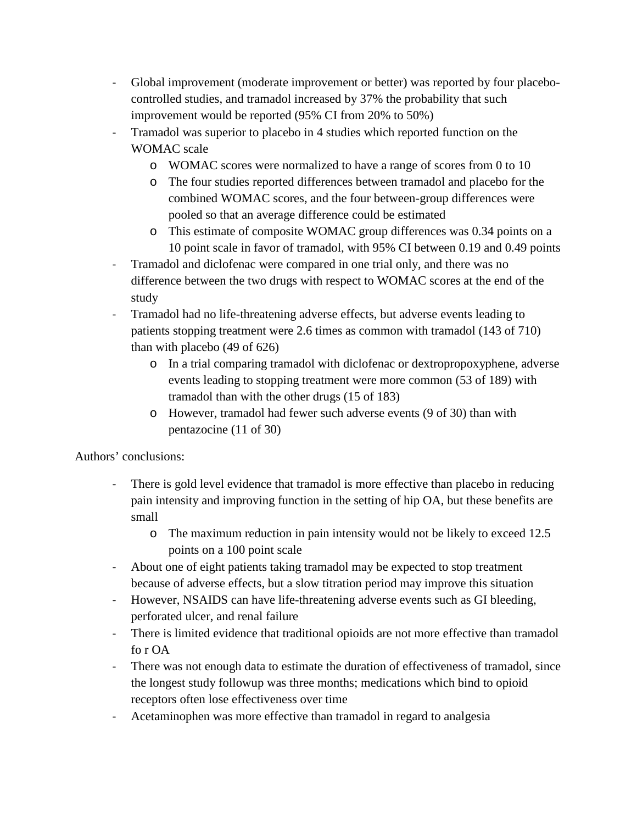- Global improvement (moderate improvement or better) was reported by four placebocontrolled studies, and tramadol increased by 37% the probability that such improvement would be reported (95% CI from 20% to 50%)
- Tramadol was superior to placebo in 4 studies which reported function on the WOMAC scale
	- o WOMAC scores were normalized to have a range of scores from 0 to 10
	- o The four studies reported differences between tramadol and placebo for the combined WOMAC scores, and the four between-group differences were pooled so that an average difference could be estimated
	- o This estimate of composite WOMAC group differences was 0.34 points on a 10 point scale in favor of tramadol, with 95% CI between 0.19 and 0.49 points
- Tramadol and diclofenac were compared in one trial only, and there was no difference between the two drugs with respect to WOMAC scores at the end of the study
- Tramadol had no life-threatening adverse effects, but adverse events leading to patients stopping treatment were 2.6 times as common with tramadol (143 of 710) than with placebo (49 of 626)
	- o In a trial comparing tramadol with diclofenac or dextropropoxyphene, adverse events leading to stopping treatment were more common (53 of 189) with tramadol than with the other drugs (15 of 183)
	- o However, tramadol had fewer such adverse events (9 of 30) than with pentazocine (11 of 30)

## Authors' conclusions:

- There is gold level evidence that tramadol is more effective than placebo in reducing pain intensity and improving function in the setting of hip OA, but these benefits are small
	- o The maximum reduction in pain intensity would not be likely to exceed 12.5 points on a 100 point scale
- About one of eight patients taking tramadol may be expected to stop treatment because of adverse effects, but a slow titration period may improve this situation
- However, NSAIDS can have life-threatening adverse events such as GI bleeding, perforated ulcer, and renal failure
- There is limited evidence that traditional opioids are not more effective than tramadol fo r OA
- There was not enough data to estimate the duration of effectiveness of tramadol, since the longest study followup was three months; medications which bind to opioid receptors often lose effectiveness over time
- Acetaminophen was more effective than tramadol in regard to analgesia